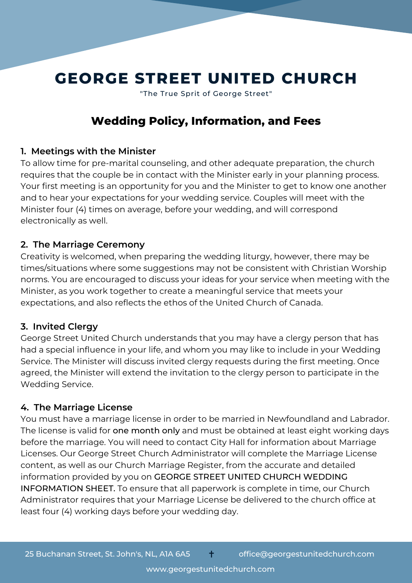# **GEORGE STREET UNITED CHURCH** "The True Sprit of George Street"

# **Wedding Policy, Information, and Fees**

## **1. Meetings with the Minister**

To allow time for pre-marital counseling, and other adequate preparation, the church requires that the couple be in contact with the Minister early in your planning process. Your first meeting is an opportunity for you and the Minister to get to know one another and to hear your expectations for your wedding service. Couples will meet with the Minister four (4) times on average, before your wedding, and will correspond electronically as well.

## **2. The Marriage Ceremony**

Creativity is welcomed, when preparing the wedding liturgy, however, there may be times/situations where some suggestions may not be consistent with Christian Worship norms. You are encouraged to discuss your ideas for your service when meeting with the Minister, as you work together to create a meaningful service that meets your expectations, and also reflects the ethos of the United Church of Canada.

## **3. Invited Clergy**

George Street United Church understands that you may have a clergy person that has had a special influence in your life, and whom you may like to include in your Wedding Service. The Minister will discuss invited clergy requests during the first meeting. Once agreed, the Minister will extend the invitation to the clergy person to participate in the Wedding Service.

## **4. The Marriage License**

You must have a marriage license in order to be married in Newfoundland and Labrador. The license is valid for one month only and must be obtained at least eight working days before the marriage. You will need to contact City Hall for information about Marriage Licenses. Our George Street Church Administrator will complete the Marriage License content, as well as our Church Marriage Register, from the accurate and detailed information provided by you on GEORGE STREET UNITED CHURCH WEDDING INFORMATION SHEET. To ensure that all paperwork is complete in time, our Church Administrator requires that your Marriage License be delivered to the church office at least four (4) working days before your wedding day.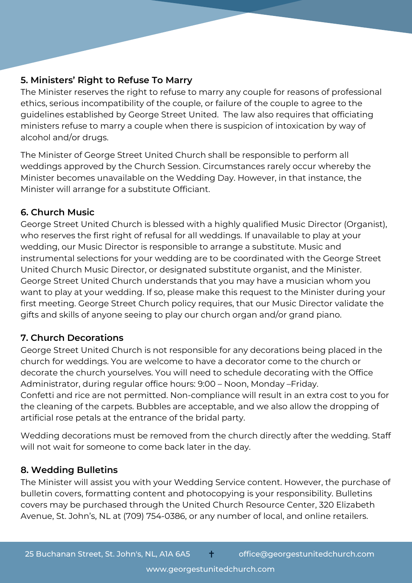## **5. Ministers' Right to Refuse To Marry**

The Minister reserves the right to refuse to marry any couple for reasons of professional ethics, serious incompatibility of the couple, or failure of the couple to agree to the guidelines established by George Street United. The law also requires that officiating ministers refuse to marry a couple when there is suspicion of intoxication by way of alcohol and/or drugs.

The Minister of George Street United Church shall be responsible to perform all weddings approved by the Church Session. Circumstances rarely occur whereby the Minister becomes unavailable on the Wedding Day. However, in that instance, the Minister will arrange for a substitute Officiant.

# **6. Church Music**

George Street United Church is blessed with a highly qualified Music Director (Organist), who reserves the first right of refusal for all weddings. If unavailable to play at your wedding, our Music Director is responsible to arrange a substitute. Music and instrumental selections for your wedding are to be coordinated with the George Street United Church Music Director, or designated substitute organist, and the Minister. George Street United Church understands that you may have a musician whom you want to play at your wedding. If so, please make this request to the Minister during your first meeting. George Street Church policy requires, that our Music Director validate the gifts and skills of anyone seeing to play our church organ and/or grand piano.

## **7. Church Decorations**

George Street United Church is not responsible for any decorations being placed in the church for weddings. You are welcome to have a decorator come to the church or decorate the church yourselves. You will need to schedule decorating with the Office Administrator, during regular office hours: 9:00 – Noon, Monday –Friday. Confetti and rice are not permitted. Non-compliance will result in an extra cost to you for the cleaning of the carpets. Bubbles are acceptable, and we also allow the dropping of artificial rose petals at the entrance of the bridal party.

Wedding decorations must be removed from the church directly after the wedding. Staff will not wait for someone to come back later in the day.

# **8. Wedding Bulletins**

The Minister will assist you with your Wedding Service content. However, the purchase of bulletin covers, formatting content and photocopying is your responsibility. Bulletins covers may be purchased through the United Church Resource Center, 320 Elizabeth Avenue, St. John's, NL at (709) 754-0386, or any number of local, and online retailers.